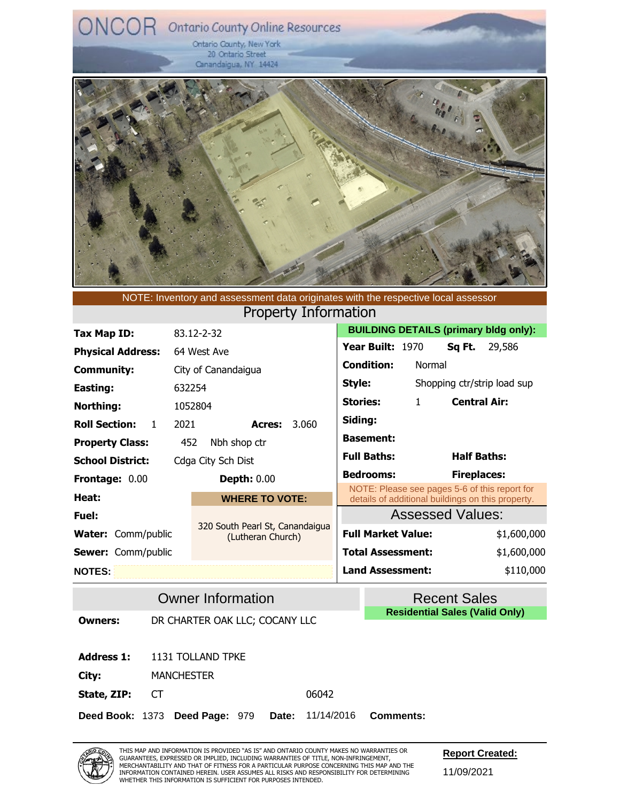Ontario County, New York 20 Ontario Street Canandaigua, NY 14424



Property Information NOTE: Inventory and assessment data originates with the respective local assessor

| Tax Map ID:                          | 83.12-2-32                                           |                                 | <b>BUILDING DETAILS (primary bldg only):</b>                                                       |
|--------------------------------------|------------------------------------------------------|---------------------------------|----------------------------------------------------------------------------------------------------|
| <b>Physical Address:</b>             | 64 West Ave                                          | Year Built: 1970                | Sq Ft.<br>29,586                                                                                   |
| <b>Community:</b>                    | City of Canandaigua                                  | <b>Condition:</b><br>Normal     |                                                                                                    |
| Easting:                             | 632254                                               | Style:                          | Shopping ctr/strip load sup                                                                        |
| Northing:                            | 1052804                                              | $\mathbf{1}$<br><b>Stories:</b> | <b>Central Air:</b>                                                                                |
| <b>Roll Section:</b><br>$\mathbf{1}$ | 3.060<br>2021<br>Acres:                              | Siding:                         |                                                                                                    |
| <b>Property Class:</b>               | Nbh shop ctr<br>452                                  | <b>Basement:</b>                |                                                                                                    |
| <b>School District:</b>              | Cdga City Sch Dist                                   | <b>Full Baths:</b>              | <b>Half Baths:</b>                                                                                 |
| <b>Frontage: 0.00</b>                | <b>Depth: 0.00</b>                                   | <b>Bedrooms:</b>                | <b>Fireplaces:</b>                                                                                 |
| Heat:                                | <b>WHERE TO VOTE:</b>                                |                                 | NOTE: Please see pages 5-6 of this report for<br>details of additional buildings on this property. |
| Fuel:                                |                                                      |                                 | <b>Assessed Values:</b>                                                                            |
| <b>Water:</b> Comm/public            | 320 South Pearl St, Canandaigua<br>(Lutheran Church) | <b>Full Market Value:</b>       | \$1,600,000                                                                                        |
| <b>Sewer:</b> Comm/public            |                                                      | <b>Total Assessment:</b>        | \$1,600,000                                                                                        |
| <b>NOTES:</b>                        |                                                      | <b>Land Assessment:</b>         | \$110,000                                                                                          |

**Owner Information Community Recent Sales Residential Sales (Valid Only)**

**Owners:** DR CHARTER OAK LLC; COCANY LLC

**Address 1:** 1131 TOLLAND TPKE

**City:** MANCHESTER

**State, ZIP:** CT 06042

**Deed Book:** Deed Book: 1373 **Deed Page:** Deed Page: 979 **Date:** Date: 11/14/2016 **Comments: Comments:**



**Report Created:**

11/09/2021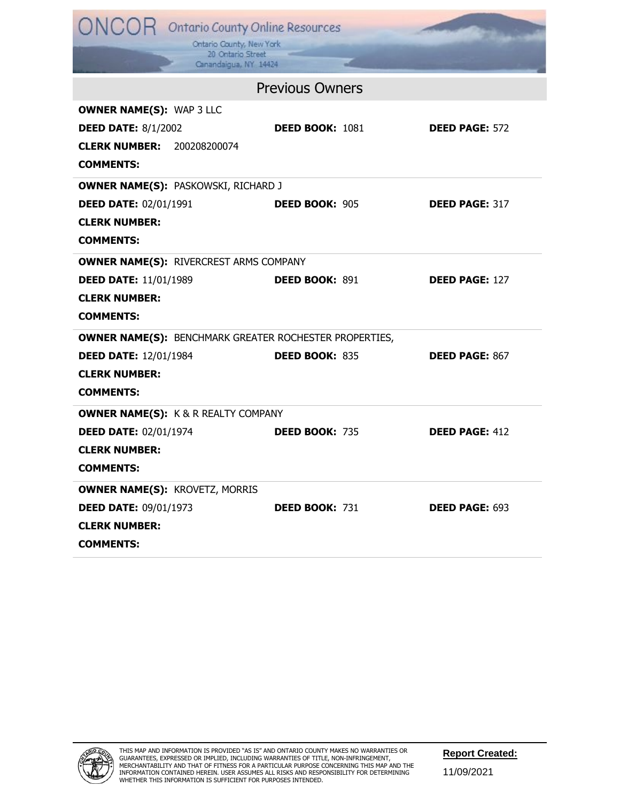| ONCOR Ontario County Online Resources<br>Ontario County, New York<br>20 Ontario Street<br>Canandaigua, NY 14424                           |                        |                       |
|-------------------------------------------------------------------------------------------------------------------------------------------|------------------------|-----------------------|
|                                                                                                                                           | <b>Previous Owners</b> |                       |
| <b>OWNER NAME(S): WAP 3 LLC</b><br><b>DEED DATE: 8/1/2002</b><br><b>CLERK NUMBER: 200208200074</b><br><b>COMMENTS:</b>                    | <b>DEED BOOK: 1081</b> | <b>DEED PAGE: 572</b> |
| <b>OWNER NAME(S): PASKOWSKI, RICHARD J</b><br><b>DEED DATE: 02/01/1991</b><br><b>CLERK NUMBER:</b><br><b>COMMENTS:</b>                    | <b>DEED BOOK: 905</b>  | <b>DEED PAGE: 317</b> |
| <b>OWNER NAME(S): RIVERCREST ARMS COMPANY</b><br><b>DEED DATE: 11/01/1989</b><br><b>CLERK NUMBER:</b><br><b>COMMENTS:</b>                 | <b>DEED BOOK: 891</b>  | <b>DEED PAGE: 127</b> |
| <b>OWNER NAME(S): BENCHMARK GREATER ROCHESTER PROPERTIES,</b><br><b>DEED DATE: 12/01/1984</b><br><b>CLERK NUMBER:</b><br><b>COMMENTS:</b> | <b>DEED BOOK: 835</b>  | <b>DEED PAGE: 867</b> |
| <b>OWNER NAME(S): K &amp; R REALTY COMPANY</b><br><b>DEED DATE: 02/01/1974</b><br><b>CLERK NUMBER:</b><br><b>COMMENTS:</b>                | <b>DEED BOOK: 735</b>  | <b>DEED PAGE: 412</b> |
| <b>OWNER NAME(S): KROVETZ, MORRIS</b><br><b>DEED DATE: 09/01/1973</b><br><b>CLERK NUMBER:</b><br><b>COMMENTS:</b>                         | <b>DEED BOOK: 731</b>  | <b>DEED PAGE: 693</b> |

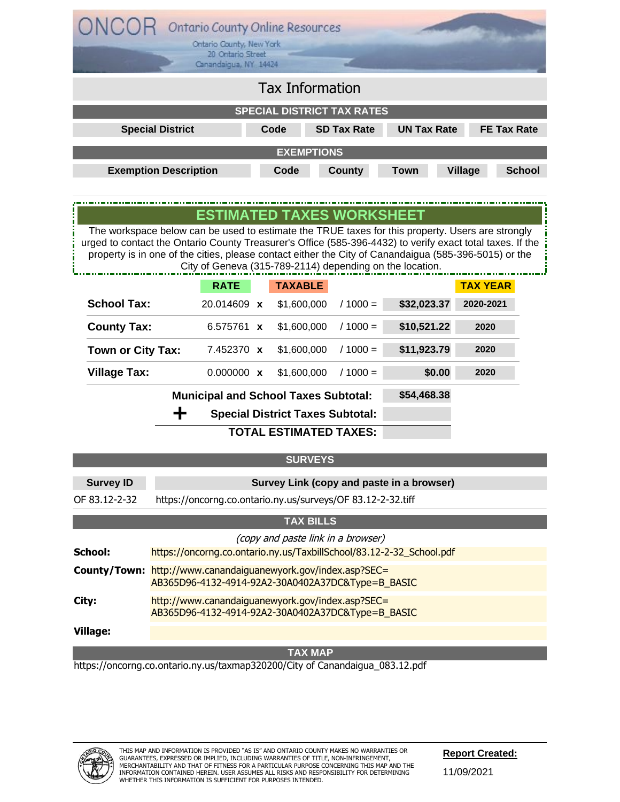|                                                                                                                                                                                                                                                                                                                        | <b>Ontario County Online Resources</b><br>Ontario County, New York |                |                                                          |                    |                    |               |  |
|------------------------------------------------------------------------------------------------------------------------------------------------------------------------------------------------------------------------------------------------------------------------------------------------------------------------|--------------------------------------------------------------------|----------------|----------------------------------------------------------|--------------------|--------------------|---------------|--|
|                                                                                                                                                                                                                                                                                                                        | 20 Ontario Street<br>Canandaigua, NY 14424                         |                |                                                          |                    |                    |               |  |
| <b>Tax Information</b>                                                                                                                                                                                                                                                                                                 |                                                                    |                |                                                          |                    |                    |               |  |
|                                                                                                                                                                                                                                                                                                                        |                                                                    |                | <b>SPECIAL DISTRICT TAX RATES</b>                        |                    |                    |               |  |
| <b>Special District</b>                                                                                                                                                                                                                                                                                                |                                                                    | Code           | <b>SD Tax Rate</b>                                       | <b>UN Tax Rate</b> | <b>FE Tax Rate</b> |               |  |
|                                                                                                                                                                                                                                                                                                                        |                                                                    |                | <b>EXEMPTIONS</b>                                        |                    |                    |               |  |
| <b>Exemption Description</b>                                                                                                                                                                                                                                                                                           |                                                                    | Code           | <b>County</b>                                            | <b>Town</b>        | <b>Village</b>     | <b>School</b> |  |
|                                                                                                                                                                                                                                                                                                                        |                                                                    |                |                                                          |                    |                    |               |  |
|                                                                                                                                                                                                                                                                                                                        |                                                                    |                | <b>ESTIMATED TAXES WORKSHEET</b>                         |                    |                    |               |  |
| The workspace below can be used to estimate the TRUE taxes for this property. Users are strongly<br>urged to contact the Ontario County Treasurer's Office (585-396-4432) to verify exact total taxes. If the<br>property is in one of the cities, please contact either the City of Canandaigua (585-396-5015) or the |                                                                    |                | City of Geneva (315-789-2114) depending on the location. |                    |                    |               |  |
|                                                                                                                                                                                                                                                                                                                        | <b>RATE</b>                                                        | <b>TAXABLE</b> |                                                          |                    | <b>TAX YEAR</b>    |               |  |
| <b>School Tax:</b>                                                                                                                                                                                                                                                                                                     | 20.014609 x                                                        | \$1,600,000    | $/1000 =$                                                | \$32,023.37        | 2020-2021          |               |  |
| <b>County Tax:</b>                                                                                                                                                                                                                                                                                                     | 6.575761 x                                                         | \$1,600,000    | $/1000 =$                                                | \$10,521.22        | 2020               |               |  |
| Town or City Tax:                                                                                                                                                                                                                                                                                                      | 7.452370 x                                                         | \$1,600,000    | $/1000 =$                                                | \$11,923.79        | 2020               |               |  |
| <b>Village Tax:</b>                                                                                                                                                                                                                                                                                                    | $0.000000 \times$                                                  | \$1,600,000    | $/ 1000 =$                                               | \$0.00             | 2020               |               |  |
|                                                                                                                                                                                                                                                                                                                        | <b>Municipal and School Taxes Subtotal:</b>                        |                |                                                          | \$54,468.38        |                    |               |  |
| ┿                                                                                                                                                                                                                                                                                                                      |                                                                    |                | <b>Special District Taxes Subtotal:</b>                  |                    |                    |               |  |
|                                                                                                                                                                                                                                                                                                                        |                                                                    |                | <b>TOTAL ESTIMATED TAXES:</b>                            |                    |                    |               |  |

|                  | <b>SURVEYS</b>                                                                                                            |
|------------------|---------------------------------------------------------------------------------------------------------------------------|
| <b>Survey ID</b> | Survey Link (copy and paste in a browser)                                                                                 |
| OF 83.12-2-32    | https://oncorng.co.ontario.ny.us/surveys/OF 83.12-2-32.tiff                                                               |
|                  | <b>TAX BILLS</b>                                                                                                          |
| School:          | (copy and paste link in a browser)<br>https://oncorng.co.ontario.ny.us/TaxbillSchool/83.12-2-32 School.pdf                |
|                  | <b>County/Town:</b> http://www.canandaiguanewyork.gov/index.asp?SEC=<br>AB365D96-4132-4914-92A2-30A0402A37DC&Type=B BASIC |
| City:            | http://www.canandaiguanewyork.gov/index.asp?SEC=<br>AB365D96-4132-4914-92A2-30A0402A37DC&Type=B BASIC                     |
| Village:         |                                                                                                                           |
|                  | <b>TAX MAP</b>                                                                                                            |
|                  | https://oncorng.co.ontario.ny.us/taxmap320200/City of Canandaigua_083.12.pdf                                              |



**Report Created:**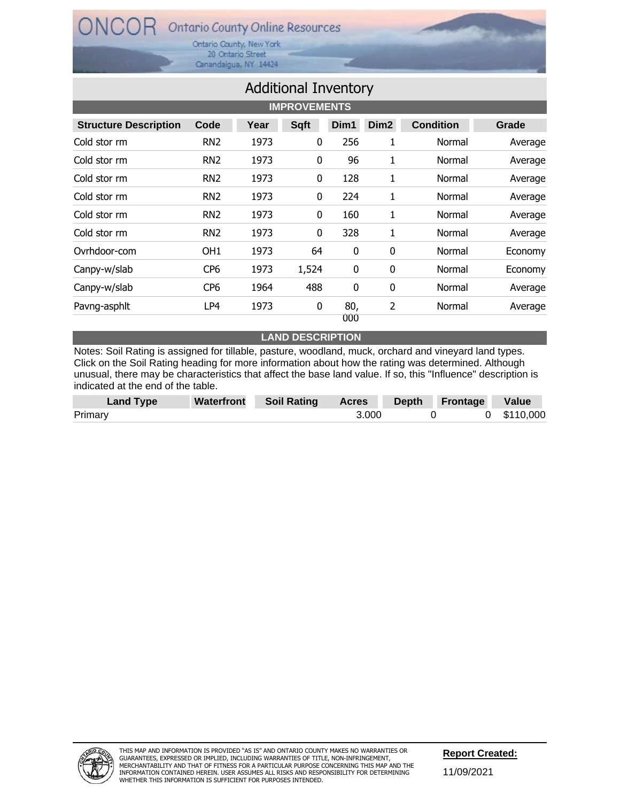Ontario County, New York 20 Ontario Street Canandaigua, NY 14424

| <b>Additional Inventory</b>  |                 |      |              |             |                  |                  |         |  |  |
|------------------------------|-----------------|------|--------------|-------------|------------------|------------------|---------|--|--|
| <b>IMPROVEMENTS</b>          |                 |      |              |             |                  |                  |         |  |  |
| <b>Structure Description</b> | Code            | Year | <b>Sqft</b>  | Dim1        | Dim <sub>2</sub> | <b>Condition</b> | Grade   |  |  |
| Cold stor rm                 | RN <sub>2</sub> | 1973 | 0            | 256         | 1                | Normal           | Average |  |  |
| Cold stor rm                 | RN <sub>2</sub> | 1973 | 0            | 96          | 1                | Normal           | Average |  |  |
| Cold stor rm                 | RN <sub>2</sub> | 1973 | 0            | 128         | 1                | Normal           | Average |  |  |
| Cold stor rm                 | RN <sub>2</sub> | 1973 | $\mathbf{0}$ | 224         | 1                | Normal           | Average |  |  |
| Cold stor rm                 | RN <sub>2</sub> | 1973 | 0            | 160         | 1                | Normal           | Average |  |  |
| Cold stor rm                 | RN <sub>2</sub> | 1973 | 0            | 328         | 1                | Normal           | Average |  |  |
| Ovrhdoor-com                 | OH1             | 1973 | 64           | $\mathbf 0$ | 0                | Normal           | Economy |  |  |
| Canpy-w/slab                 | CP <sub>6</sub> | 1973 | 1,524        | $\mathbf 0$ | 0                | Normal           | Economy |  |  |
| Canpy-w/slab                 | CP6             | 1964 | 488          | 0           | 0                | Normal           | Average |  |  |
| Pavng-asphlt                 | LP4             | 1973 | 0            | 80,<br>000  | 2                | Normal           | Average |  |  |

#### **LAND DESCRIPTION**

Notes: Soil Rating is assigned for tillable, pasture, woodland, muck, orchard and vineyard land types. Click on the Soil Rating heading for more information about how the rating was determined. Although unusual, there may be characteristics that affect the base land value. If so, this "Influence" description is indicated at the end of the table.

| Land Type | Waterfront | Soil Rating | <b>Acres</b> | Depth Frontage | Value       |
|-----------|------------|-------------|--------------|----------------|-------------|
| Primary   |            |             | 3.000        |                | 0 \$110,000 |

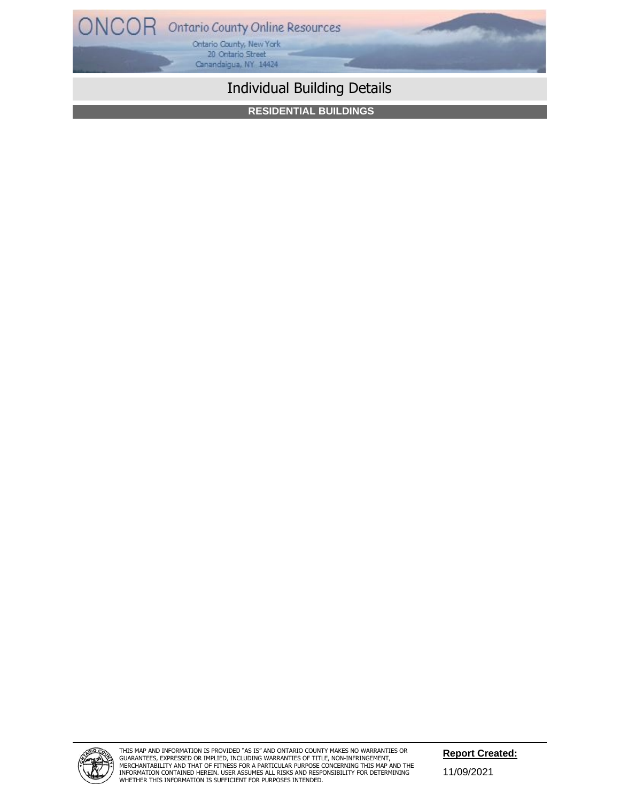

# Individual Building Details

**RESIDENTIAL BUILDINGS**



THIS MAP AND INFORMATION IS PROVIDED "AS IS" AND ONTARIO COUNTY MAKES NO WARRANTIES OR<br>GUARANTEES, EXPRESSED OR IMPLIED, INCLUDING WARRANTIES OF TITLE, NON-INFRINGEMENT,<br>MERCHANTABILITY AND THAT OF FITNESS FOR A PARTICULAR INFORMATION CONTAINED HEREIN. USER ASSUMES ALL RISKS AND RESPONSIBILITY FOR DETERMINING WHETHER THIS INFORMATION IS SUFFICIENT FOR PURPOSES INTENDED.

11/09/2021 **Report Created:**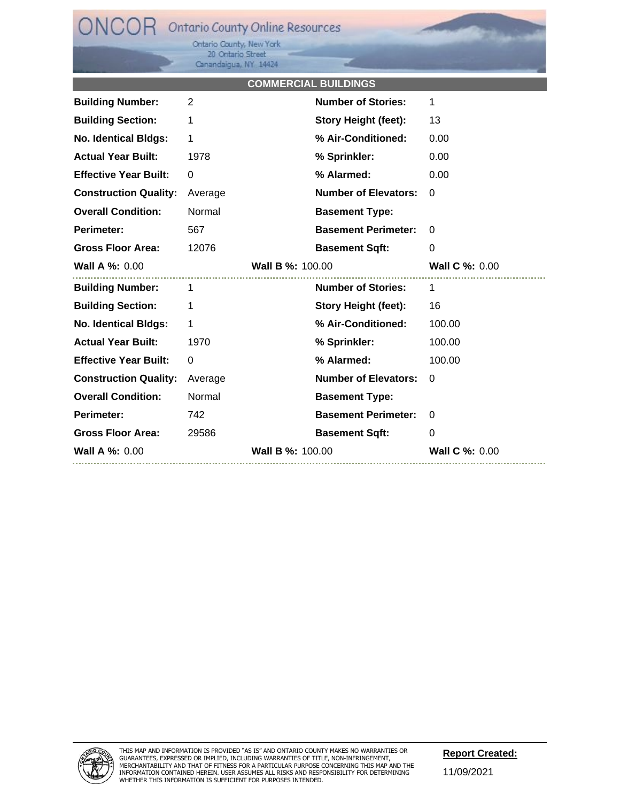Ontario County, New York<br>20 Ontario Street Canandaigua, NY 14424

### **COMMERCIAL BUILDINGS**

a K

| <b>Building Number:</b>      | 2                       | <b>Number of Stories:</b>   | 1                     |
|------------------------------|-------------------------|-----------------------------|-----------------------|
| <b>Building Section:</b>     | 1                       | <b>Story Height (feet):</b> | 13                    |
| <b>No. Identical Bldgs:</b>  | 1                       | % Air-Conditioned:          | 0.00                  |
| <b>Actual Year Built:</b>    | 1978                    | % Sprinkler:                | 0.00                  |
| <b>Effective Year Built:</b> | $\mathbf 0$             | % Alarmed:                  | 0.00                  |
| <b>Construction Quality:</b> | Average                 | <b>Number of Elevators:</b> | 0                     |
| <b>Overall Condition:</b>    | Normal                  | <b>Basement Type:</b>       |                       |
| Perimeter:                   | 567                     | <b>Basement Perimeter:</b>  | 0                     |
| <b>Gross Floor Area:</b>     | 12076                   | <b>Basement Sqft:</b>       | 0                     |
| <b>Wall A %: 0.00</b>        | <b>Wall B %: 100.00</b> |                             | <b>Wall C %: 0.00</b> |
|                              |                         |                             |                       |
| <b>Building Number:</b>      | $\mathbf{1}$            | <b>Number of Stories:</b>   | $\mathbf{1}$          |
| <b>Building Section:</b>     | 1                       | <b>Story Height (feet):</b> | 16                    |
| <b>No. Identical Bldgs:</b>  | 1                       | % Air-Conditioned:          | 100.00                |
| <b>Actual Year Built:</b>    | 1970                    | % Sprinkler:                | 100.00                |
| <b>Effective Year Built:</b> | 0                       | % Alarmed:                  | 100.00                |
| <b>Construction Quality:</b> | Average                 | <b>Number of Elevators:</b> | 0                     |
| <b>Overall Condition:</b>    | Normal                  | <b>Basement Type:</b>       |                       |
| Perimeter:                   | 742                     | <b>Basement Perimeter:</b>  | 0                     |
| <b>Gross Floor Area:</b>     | 29586                   | <b>Basement Sqft:</b>       | 0                     |



11/09/2021 **Report Created:**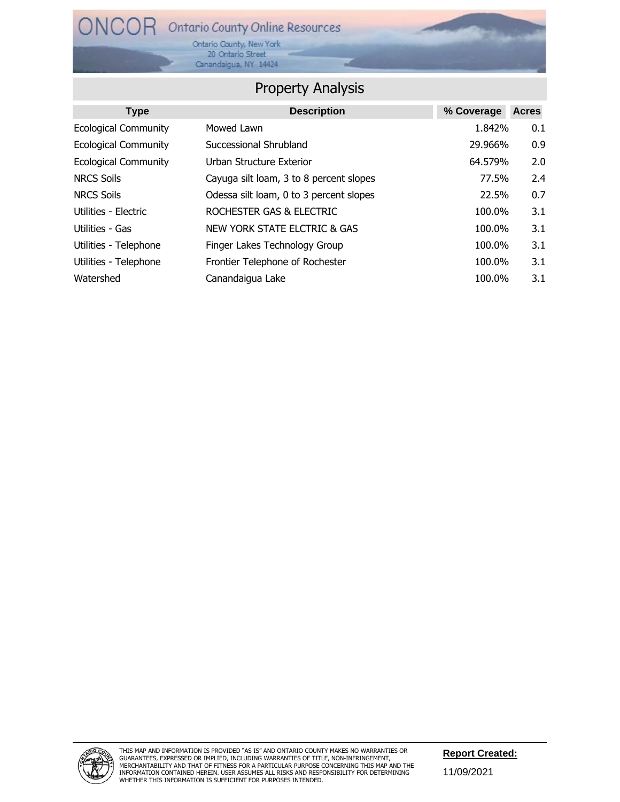Ontario County, New York<br>20 Ontario Street Canandaigua, NY 14424

### Property Analysis

| <b>Type</b>                 | <b>Description</b>                      | % Coverage | <b>Acres</b> |
|-----------------------------|-----------------------------------------|------------|--------------|
| <b>Ecological Community</b> | Mowed Lawn                              | 1.842%     | 0.1          |
| <b>Ecological Community</b> | Successional Shrubland                  | 29.966%    | 0.9          |
| <b>Ecological Community</b> | Urban Structure Exterior                | 64.579%    | 2.0          |
| <b>NRCS Soils</b>           | Cayuga silt loam, 3 to 8 percent slopes | 77.5%      | 2.4          |
| <b>NRCS Soils</b>           | Odessa silt loam, 0 to 3 percent slopes | 22.5%      | 0.7          |
| Utilities - Electric        | ROCHESTER GAS & ELECTRIC                | 100.0%     | 3.1          |
| Utilities - Gas             | NEW YORK STATE ELCTRIC & GAS            | 100.0%     | 3.1          |
| Utilities - Telephone       | Finger Lakes Technology Group           | 100.0%     | 3.1          |
| Utilities - Telephone       | Frontier Telephone of Rochester         | 100.0%     | 3.1          |
| Watershed                   | Canandaigua Lake                        | 100.0%     | 3.1          |



11/09/2021 **Report Created:**